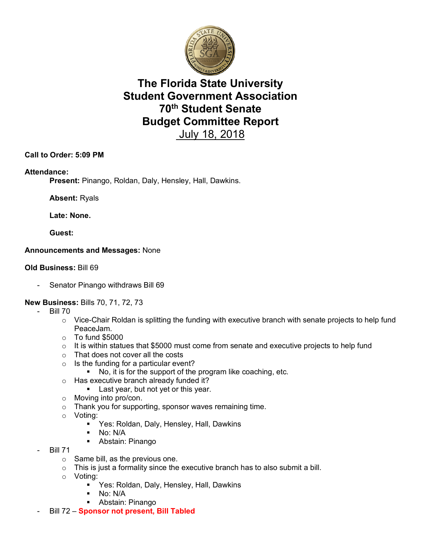

# **The Florida State University Student Government Association 70th Student Senate Budget Committee Report**  July 18, 2018

## **Call to Order: 5:09 PM**

## **Attendance:**

**Present:** Pinango, Roldan, Daly, Hensley, Hall, Dawkins.

**Absent:** Ryals

**Late: None.**

**Guest:**

## **Announcements and Messages:** None

## **Old Business:** Bill 69

Senator Pinango withdraws Bill 69

## **New Business:** Bills 70, 71, 72, 73

- **Bill 70** 
	- $\circ$  Vice-Chair Roldan is splitting the funding with executive branch with senate projects to help fund PeaceJam.
	- o To fund \$5000
	- $\circ$  It is within statues that \$5000 must come from senate and executive projects to help fund
	- o That does not cover all the costs
	- $\circ$  Is the funding for a particular event?
		- § No, it is for the support of the program like coaching, etc.
	- o Has executive branch already funded it?
		- **Example 1** Last year, but not yet or this year.
	- o Moving into pro/con.
	- o Thank you for supporting, sponsor waves remaining time.
	- o Voting:
		- **Yes: Roldan, Daly, Hensley, Hall, Dawkins**
		- $\blacksquare$  No: N/A
		- Abstain: Pinango
- **Bill 71** 
	- $\circ$  Same bill, as the previous one.
	- $\circ$  This is just a formality since the executive branch has to also submit a bill.
	- o Voting:
		- Yes: Roldan, Daly, Hensley, Hall, Dawkins
		- § No: N/A
		- Abstain: Pinango
- Bill 72 **Sponsor not present, Bill Tabled**